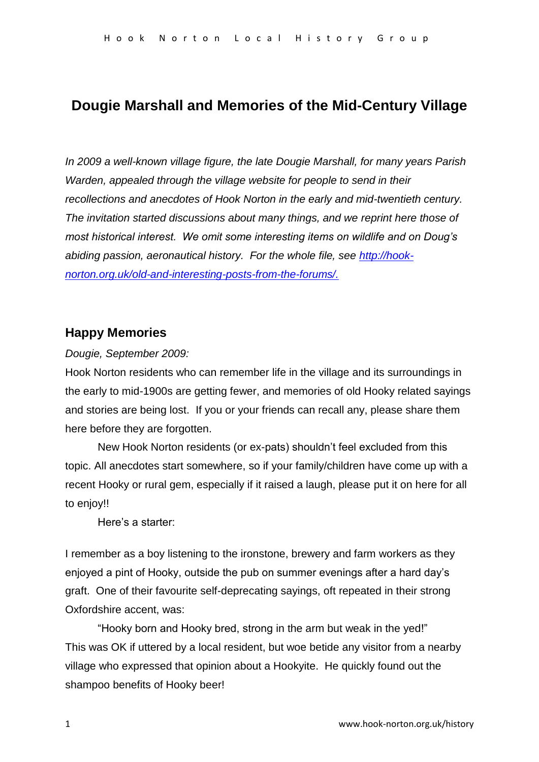# **Dougie Marshall and Memories of the Mid-Century Village**

*In 2009 a well-known village figure, the late Dougie Marshall, for many years Parish Warden, appealed through the village website for people to send in their recollections and anecdotes of Hook Norton in the early and mid-twentieth century. The invitation started discussions about many things, and we reprint here those of most historical interest. We omit some interesting items on wildlife and on Doug's abiding passion, aeronautical history. For the whole file, see [http://hook](https://owa.nexus.ox.ac.uk/owa/redir.aspx?C=vQ9OQzmj1kS209n8r6h2i6-yDT9IuNIIsguyfJ1yqN1hcxEoE2GTdbZ3L52dV1pNZhaZURy0PCs.&URL=http%3a%2f%2fhook-norton.org.uk%2fold-and-interesting-posts-from-the-forums%2f)[norton.org.uk/old-and-interesting-posts-from-the-forums/.](https://owa.nexus.ox.ac.uk/owa/redir.aspx?C=vQ9OQzmj1kS209n8r6h2i6-yDT9IuNIIsguyfJ1yqN1hcxEoE2GTdbZ3L52dV1pNZhaZURy0PCs.&URL=http%3a%2f%2fhook-norton.org.uk%2fold-and-interesting-posts-from-the-forums%2f)*

## **Happy Memories**

## *Dougie, September 2009:*

Hook Norton residents who can remember life in the village and its surroundings in the early to mid-1900s are getting fewer, and memories of old Hooky related sayings and stories are being lost. If you or your friends can recall any, please share them here before they are forgotten.

New Hook Norton residents (or ex-pats) shouldn't feel excluded from this topic. All anecdotes start somewhere, so if your family/children have come up with a recent Hooky or rural gem, especially if it raised a laugh, please put it on here for all to enjoy!!

Here's a starter:

I remember as a boy listening to the ironstone, brewery and farm workers as they enjoyed a pint of Hooky, outside the pub on summer evenings after a hard day's graft. One of their favourite self-deprecating sayings, oft repeated in their strong Oxfordshire accent, was:

"Hooky born and Hooky bred, strong in the arm but weak in the yed!" This was OK if uttered by a local resident, but woe betide any visitor from a nearby village who expressed that opinion about a Hookyite. He quickly found out the shampoo benefits of Hooky beer!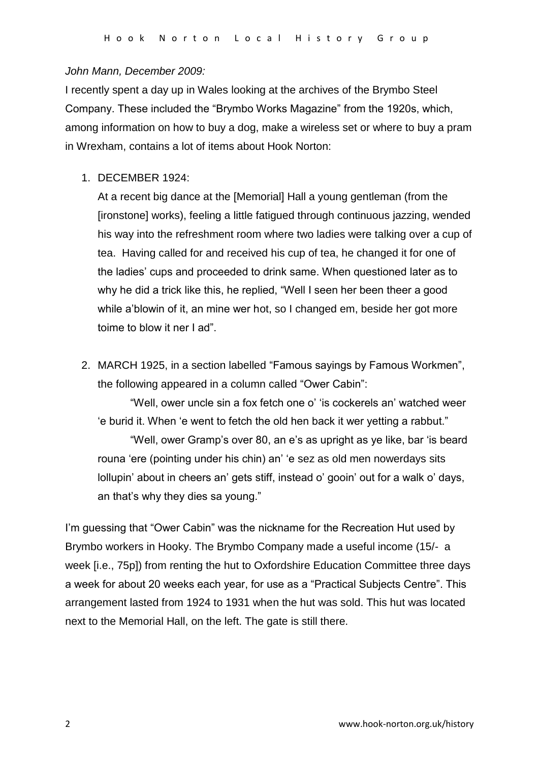#### *John Mann, December 2009:*

I recently spent a day up in Wales looking at the archives of the Brymbo Steel Company. These included the "Brymbo Works Magazine" from the 1920s, which, among information on how to buy a dog, make a wireless set or where to buy a pram in Wrexham, contains a lot of items about Hook Norton:

1. DECEMBER 1924:

At a recent big dance at the [Memorial] Hall a young gentleman (from the [ironstone] works), feeling a little fatigued through continuous jazzing, wended his way into the refreshment room where two ladies were talking over a cup of tea. Having called for and received his cup of tea, he changed it for one of the ladies' cups and proceeded to drink same. When questioned later as to why he did a trick like this, he replied, "Well I seen her been theer a good while a'blowin of it, an mine wer hot, so I changed em, beside her got more toime to blow it ner I ad".

2. MARCH 1925, in a section labelled "Famous sayings by Famous Workmen", the following appeared in a column called "Ower Cabin":

"Well, ower uncle sin a fox fetch one o' 'is cockerels an' watched weer 'e burid it. When 'e went to fetch the old hen back it wer yetting a rabbut."

"Well, ower Gramp's over 80, an e's as upright as ye like, bar 'is beard rouna 'ere (pointing under his chin) an' 'e sez as old men nowerdays sits lollupin' about in cheers an' gets stiff, instead o' gooin' out for a walk o' days, an that's why they dies sa young."

I'm guessing that "Ower Cabin" was the nickname for the Recreation Hut used by Brymbo workers in Hooky. The Brymbo Company made a useful income (15/- a week [i.e., 75p]) from renting the hut to Oxfordshire Education Committee three days a week for about 20 weeks each year, for use as a "Practical Subjects Centre". This arrangement lasted from 1924 to 1931 when the hut was sold. This hut was located next to the Memorial Hall, on the left. The gate is still there.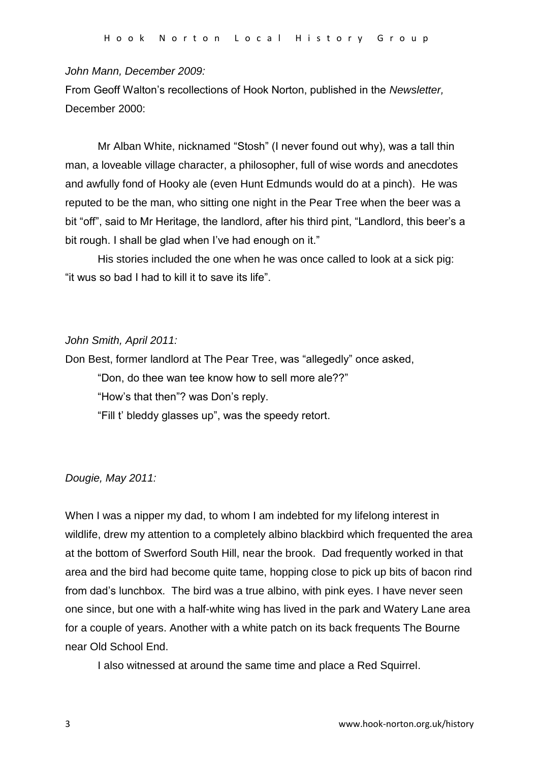#### *John Mann, December 2009:*

From Geoff Walton's recollections of Hook Norton, published in the *Newsletter,* December 2000:

Mr Alban White, nicknamed "Stosh" (I never found out why), was a tall thin man, a loveable village character, a philosopher, full of wise words and anecdotes and awfully fond of Hooky ale (even Hunt Edmunds would do at a pinch). He was reputed to be the man, who sitting one night in the Pear Tree when the beer was a bit "off", said to Mr Heritage, the landlord, after his third pint, "Landlord, this beer's a bit rough. I shall be glad when I've had enough on it."

His stories included the one when he was once called to look at a sick pig: "it wus so bad I had to kill it to save its life".

## *John Smith, April 2011:*

Don Best, former landlord at The Pear Tree, was "allegedly" once asked,

"Don, do thee wan tee know how to sell more ale??"

"How's that then"? was Don's reply.

"Fill t' bleddy glasses up", was the speedy retort.

## *Dougie, May 2011:*

When I was a nipper my dad, to whom I am indebted for my lifelong interest in wildlife, drew my attention to a completely albino blackbird which frequented the area at the bottom of Swerford South Hill, near the brook. Dad frequently worked in that area and the bird had become quite tame, hopping close to pick up bits of bacon rind from dad's lunchbox. The bird was a true albino, with pink eyes. I have never seen one since, but one with a half-white wing has lived in the park and Watery Lane area for a couple of years. Another with a white patch on its back frequents The Bourne near Old School End.

I also witnessed at around the same time and place a Red Squirrel.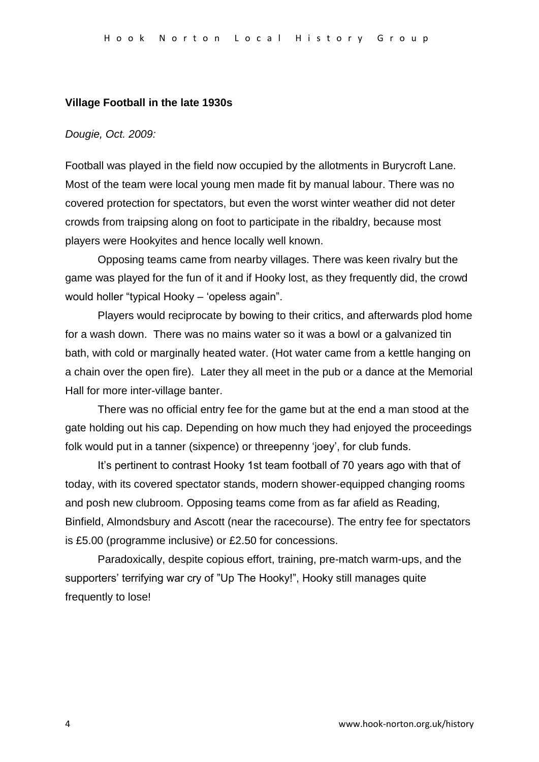#### **Village Football in the late 1930s**

*Dougie, Oct. 2009:* 

Football was played in the field now occupied by the allotments in Burycroft Lane. Most of the team were local young men made fit by manual labour. There was no covered protection for spectators, but even the worst winter weather did not deter crowds from traipsing along on foot to participate in the ribaldry, because most players were Hookyites and hence locally well known.

Opposing teams came from nearby villages. There was keen rivalry but the game was played for the fun of it and if Hooky lost, as they frequently did, the crowd would holler "typical Hooky – 'opeless again".

Players would reciprocate by bowing to their critics, and afterwards plod home for a wash down. There was no mains water so it was a bowl or a galvanized tin bath, with cold or marginally heated water. (Hot water came from a kettle hanging on a chain over the open fire). Later they all meet in the pub or a dance at the Memorial Hall for more inter-village banter.

There was no official entry fee for the game but at the end a man stood at the gate holding out his cap. Depending on how much they had enjoyed the proceedings folk would put in a tanner (sixpence) or threepenny 'joey', for club funds.

It's pertinent to contrast Hooky 1st team football of 70 years ago with that of today, with its covered spectator stands, modern shower-equipped changing rooms and posh new clubroom. Opposing teams come from as far afield as Reading, Binfield, Almondsbury and Ascott (near the racecourse). The entry fee for spectators is £5.00 (programme inclusive) or £2.50 for concessions.

Paradoxically, despite copious effort, training, pre-match warm-ups, and the supporters' terrifying war cry of "Up The Hooky!", Hooky still manages quite frequently to lose!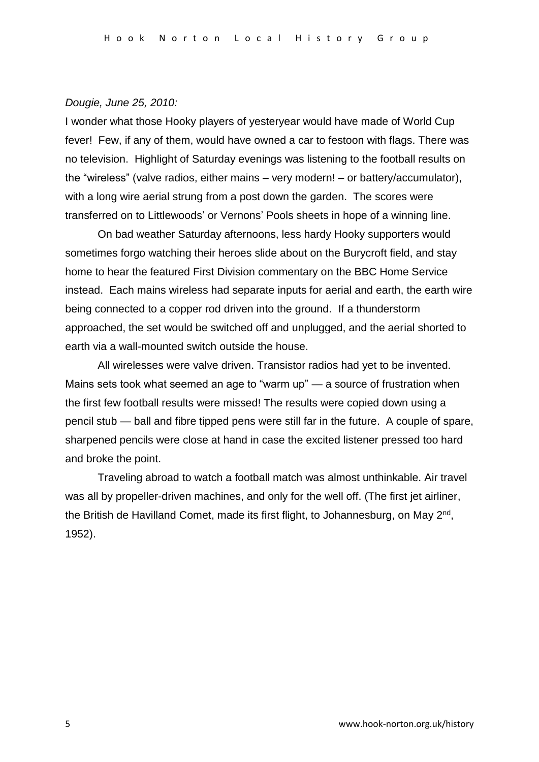#### *Dougie, June 25, 2010:*

I wonder what those Hooky players of yesteryear would have made of World Cup fever! Few, if any of them, would have owned a car to festoon with flags. There was no television. Highlight of Saturday evenings was listening to the football results on the "wireless" (valve radios, either mains – very modern! – or battery/accumulator), with a long wire aerial strung from a post down the garden. The scores were transferred on to Littlewoods' or Vernons' Pools sheets in hope of a winning line.

On bad weather Saturday afternoons, less hardy Hooky supporters would sometimes forgo watching their heroes slide about on the Burycroft field, and stay home to hear the featured First Division commentary on the BBC Home Service instead. Each mains wireless had separate inputs for aerial and earth, the earth wire being connected to a copper rod driven into the ground. If a thunderstorm approached, the set would be switched off and unplugged, and the aerial shorted to earth via a wall-mounted switch outside the house.

All wirelesses were valve driven. Transistor radios had yet to be invented. Mains sets took what seemed an age to "warm up" — a source of frustration when the first few football results were missed! The results were copied down using a pencil stub — ball and fibre tipped pens were still far in the future. A couple of spare, sharpened pencils were close at hand in case the excited listener pressed too hard and broke the point.

Traveling abroad to watch a football match was almost unthinkable. Air travel was all by propeller-driven machines, and only for the well off. (The first jet airliner, the British de Havilland Comet, made its first flight, to Johannesburg, on May 2<sup>nd</sup>, 1952).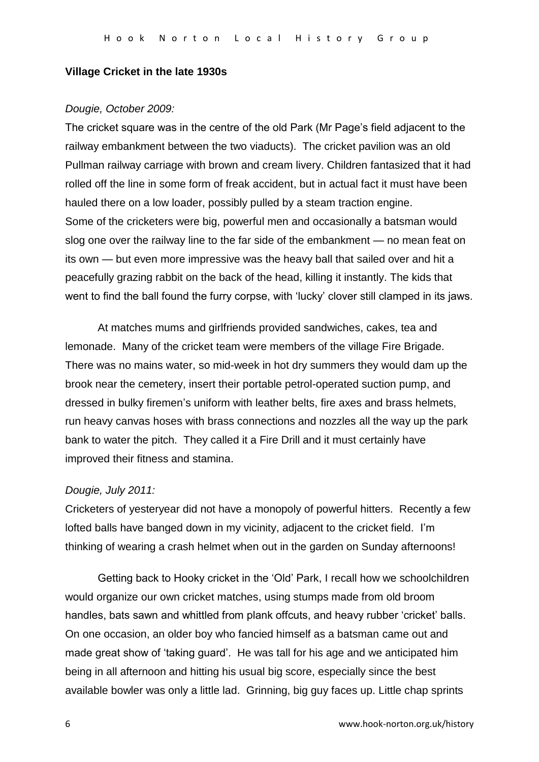## **Village Cricket in the late 1930s**

## *Dougie, October 2009:*

The cricket square was in the centre of the old Park (Mr Page's field adjacent to the railway embankment between the two viaducts). The cricket pavilion was an old Pullman railway carriage with brown and cream livery. Children fantasized that it had rolled off the line in some form of freak accident, but in actual fact it must have been hauled there on a low loader, possibly pulled by a steam traction engine. Some of the cricketers were big, powerful men and occasionally a batsman would slog one over the railway line to the far side of the embankment — no mean feat on its own — but even more impressive was the heavy ball that sailed over and hit a peacefully grazing rabbit on the back of the head, killing it instantly. The kids that went to find the ball found the furry corpse, with 'lucky' clover still clamped in its jaws.

At matches mums and girlfriends provided sandwiches, cakes, tea and lemonade. Many of the cricket team were members of the village Fire Brigade. There was no mains water, so mid-week in hot dry summers they would dam up the brook near the cemetery, insert their portable petrol-operated suction pump, and dressed in bulky firemen's uniform with leather belts, fire axes and brass helmets, run heavy canvas hoses with brass connections and nozzles all the way up the park bank to water the pitch. They called it a Fire Drill and it must certainly have improved their fitness and stamina.

## *Dougie, July 2011:*

Cricketers of yesteryear did not have a monopoly of powerful hitters. Recently a few lofted balls have banged down in my vicinity, adjacent to the cricket field. I'm thinking of wearing a crash helmet when out in the garden on Sunday afternoons!

Getting back to Hooky cricket in the 'Old' Park, I recall how we schoolchildren would organize our own cricket matches, using stumps made from old broom handles, bats sawn and whittled from plank offcuts, and heavy rubber 'cricket' balls. On one occasion, an older boy who fancied himself as a batsman came out and made great show of 'taking guard'. He was tall for his age and we anticipated him being in all afternoon and hitting his usual big score, especially since the best available bowler was only a little lad. Grinning, big guy faces up. Little chap sprints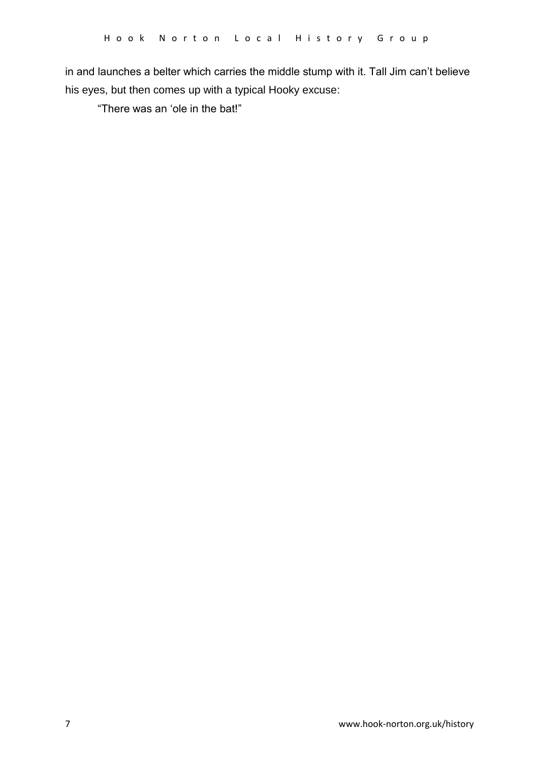in and launches a belter which carries the middle stump with it. Tall Jim can't believe his eyes, but then comes up with a typical Hooky excuse:

"There was an 'ole in the bat!"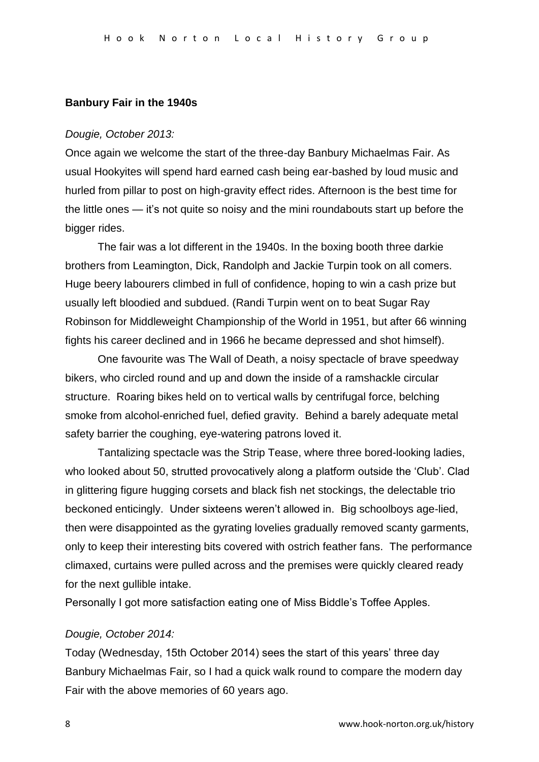#### **Banbury Fair in the 1940s**

#### *Dougie, October 2013:*

Once again we welcome the start of the three-day Banbury Michaelmas Fair. As usual Hookyites will spend hard earned cash being ear-bashed by loud music and hurled from pillar to post on high-gravity effect rides. Afternoon is the best time for the little ones — it's not quite so noisy and the mini roundabouts start up before the bigger rides.

The fair was a lot different in the 1940s. In the boxing booth three darkie brothers from Leamington, Dick, Randolph and Jackie Turpin took on all comers. Huge beery labourers climbed in full of confidence, hoping to win a cash prize but usually left bloodied and subdued. (Randi Turpin went on to beat Sugar Ray Robinson for Middleweight Championship of the World in 1951, but after 66 winning fights his career declined and in 1966 he became depressed and shot himself).

One favourite was The Wall of Death, a noisy spectacle of brave speedway bikers, who circled round and up and down the inside of a ramshackle circular structure. Roaring bikes held on to vertical walls by centrifugal force, belching smoke from alcohol-enriched fuel, defied gravity. Behind a barely adequate metal safety barrier the coughing, eye-watering patrons loved it.

Tantalizing spectacle was the Strip Tease, where three bored-looking ladies, who looked about 50, strutted provocatively along a platform outside the 'Club'. Clad in glittering figure hugging corsets and black fish net stockings, the delectable trio beckoned enticingly. Under sixteens weren't allowed in. Big schoolboys age-lied, then were disappointed as the gyrating lovelies gradually removed scanty garments, only to keep their interesting bits covered with ostrich feather fans. The performance climaxed, curtains were pulled across and the premises were quickly cleared ready for the next gullible intake.

Personally I got more satisfaction eating one of Miss Biddle's Toffee Apples.

## *Dougie, October 2014:*

Today (Wednesday, 15th October 2014) sees the start of this years' three day Banbury Michaelmas Fair, so I had a quick walk round to compare the modern day Fair with the above memories of 60 years ago.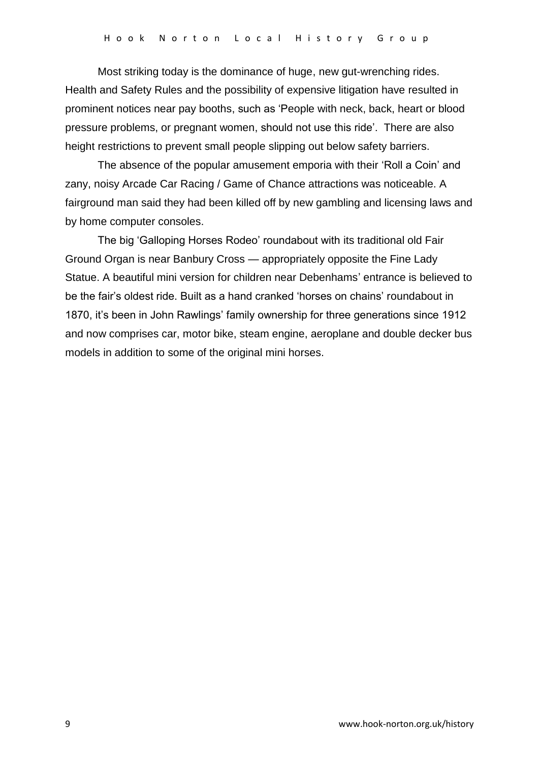Most striking today is the dominance of huge, new gut-wrenching rides. Health and Safety Rules and the possibility of expensive litigation have resulted in prominent notices near pay booths, such as 'People with neck, back, heart or blood pressure problems, or pregnant women, should not use this ride'. There are also height restrictions to prevent small people slipping out below safety barriers.

The absence of the popular amusement emporia with their 'Roll a Coin' and zany, noisy Arcade Car Racing / Game of Chance attractions was noticeable. A fairground man said they had been killed off by new gambling and licensing laws and by home computer consoles.

The big 'Galloping Horses Rodeo' roundabout with its traditional old Fair Ground Organ is near Banbury Cross — appropriately opposite the Fine Lady Statue. A beautiful mini version for children near Debenhams' entrance is believed to be the fair's oldest ride. Built as a hand cranked 'horses on chains' roundabout in 1870, it's been in John Rawlings' family ownership for three generations since 1912 and now comprises car, motor bike, steam engine, aeroplane and double decker bus models in addition to some of the original mini horses.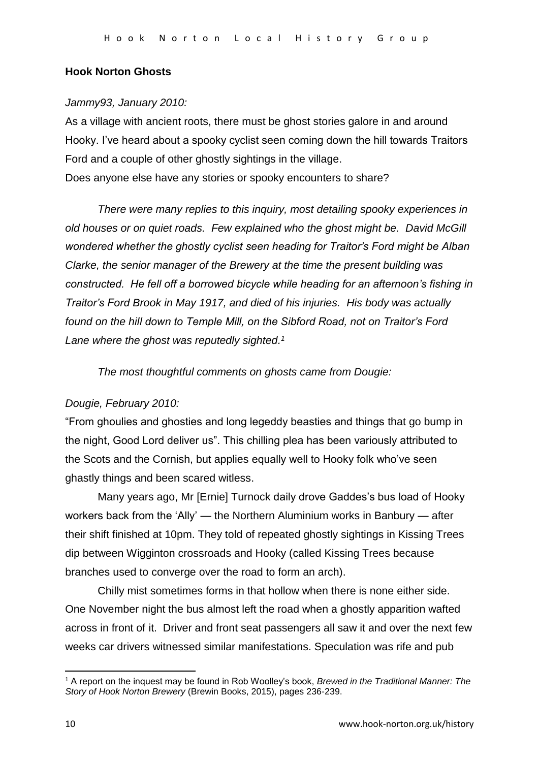## **Hook Norton Ghosts**

## *Jammy93, January 2010:*

As a village with ancient roots, there must be ghost stories galore in and around Hooky. I've heard about a spooky cyclist seen coming down the hill towards Traitors Ford and a couple of other ghostly sightings in the village. Does anyone else have any stories or spooky encounters to share?

*There were many replies to this inquiry, most detailing spooky experiences in old houses or on quiet roads. Few explained who the ghost might be. David McGill wondered whether the ghostly cyclist seen heading for Traitor's Ford might be Alban Clarke, the senior manager of the Brewery at the time the present building was constructed. He fell off a borrowed bicycle while heading for an afternoon's fishing in Traitor's Ford Brook in May 1917, and died of his injuries. His body was actually found on the hill down to Temple Mill, on the Sibford Road, not on Traitor's Ford Lane where the ghost was reputedly sighted. 1*

*The most thoughtful comments on ghosts came from Dougie:* 

## *Dougie, February 2010:*

"From ghoulies and ghosties and long legeddy beasties and things that go bump in the night, Good Lord deliver us". This chilling plea has been variously attributed to the Scots and the Cornish, but applies equally well to Hooky folk who've seen ghastly things and been scared witless.

Many years ago, Mr [Ernie] Turnock daily drove Gaddes's bus load of Hooky workers back from the 'Ally' — the Northern Aluminium works in Banbury — after their shift finished at 10pm. They told of repeated ghostly sightings in Kissing Trees dip between Wigginton crossroads and Hooky (called Kissing Trees because branches used to converge over the road to form an arch).

Chilly mist sometimes forms in that hollow when there is none either side. One November night the bus almost left the road when a ghostly apparition wafted across in front of it. Driver and front seat passengers all saw it and over the next few weeks car drivers witnessed similar manifestations. Speculation was rife and pub

**.** 

<sup>1</sup> A report on the inquest may be found in Rob Woolley's book, *Brewed in the Traditional Manner: The Story of Hook Norton Brewery* (Brewin Books, 2015), pages 236-239.